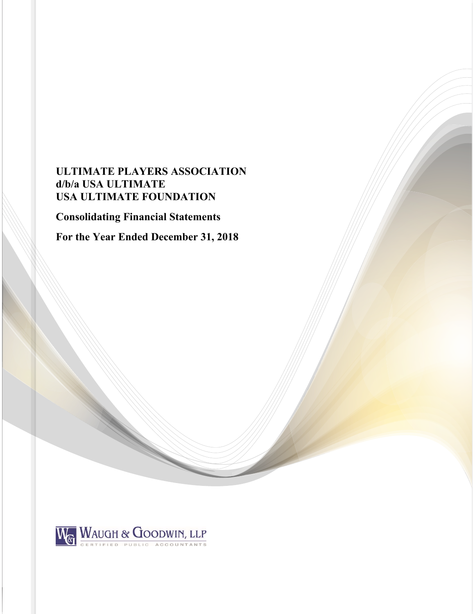# **ULTIMATE PLAYERS ASSOCIATION d/b/a USA ULTIMATE USA ULTIMATE FOUNDATION**

**Consolidating Financial Statements** 

**For the Year Ended December 31, 2018** 

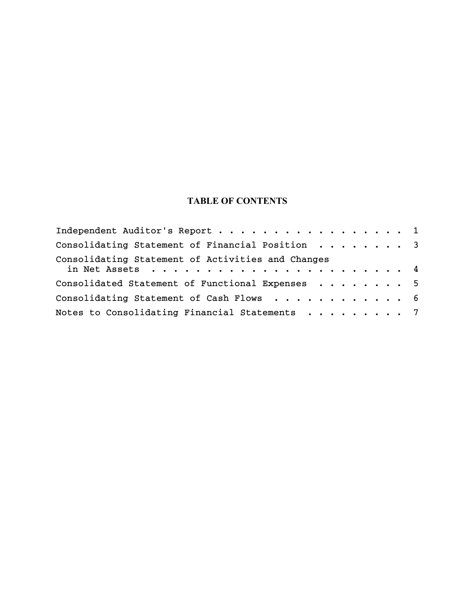# **TABLE OF CONTENTS**

| Independent Auditor's Report 1                    |  |
|---------------------------------------------------|--|
| Consolidating Statement of Financial Position 3   |  |
| Consolidating Statement of Activities and Changes |  |
|                                                   |  |
| Consolidated Statement of Functional Expenses 5   |  |
| Consolidating Statement of Cash Flows 6           |  |
| Notes to Consolidating Financial Statements 7     |  |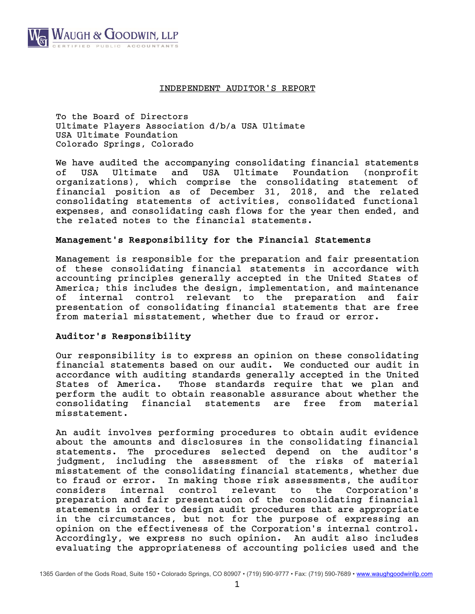

## INDEPENDENT AUDITOR'S REPORT

To the Board of Directors Ultimate Players Association d/b/a USA Ultimate USA Ultimate Foundation Colorado Springs, Colorado

We have audited the accompanying consolidating financial statements of USA Ultimate and USA Ultimate Foundation (nonprofit organizations), which comprise the consolidating statement of financial position as of December 31, 2018, and the related consolidating statements of activities, consolidated functional expenses, and consolidating cash flows for the year then ended, and the related notes to the financial statements.

## Management's Responsibility for the Financial Statements

Management is responsible for the preparation and fair presentation of these consolidating financial statements in accordance with accounting principles generally accepted in the United States of America; this includes the design, implementation, and maintenance of internal control relevant to the preparation and fair presentation of consolidating financial statements that are free from material misstatement, whether due to fraud or error.

# Auditor's Responsibility

Our responsibility is to express an opinion on these consolidating financial statements based on our audit. We conducted our audit in accordance with auditing standards generally accepted in the United States of America. Those standards require that we plan and perform the audit to obtain reasonable assurance about whether the consolidating financial statements are free from material misstatement.

An audit involves performing procedures to obtain audit evidence about the amounts and disclosures in the consolidating financial statements. The procedures selected depend on the auditor's judgment, including the assessment of the risks of material misstatement of the consolidating financial statements, whether due to fraud or error. In making those risk assessments, the auditor considers internal control relevant to the Corporation's preparation and fair presentation of the consolidating financial statements in order to design audit procedures that are appropriate in the circumstances, but not for the purpose of expressing an opinion on the effectiveness of the Corporation's internal control. Accordingly, we express no such opinion. An audit also includes evaluating the appropriateness of accounting policies used and the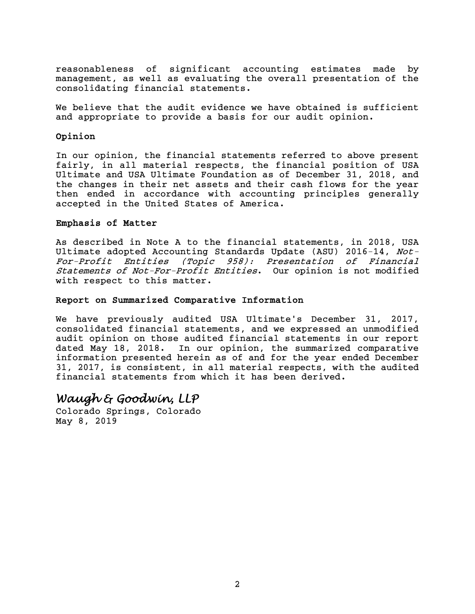reasonableness of significant accounting estimates made by management, as well as evaluating the overall presentation of the consolidating financial statements.

We believe that the audit evidence we have obtained is sufficient and appropriate to provide a basis for our audit opinion.

# Opinion

In our opinion, the financial statements referred to above present fairly, in all material respects, the financial position of USA Ultimate and USA Ultimate Foundation as of December 31, 2018, and the changes in their net assets and their cash flows for the year then ended in accordance with accounting principles generally accepted in the United States of America.

# Emphasis of Matter

As described in Note A to the financial statements, in 2018, USA Ultimate adopted Accounting Standards Update (ASU) 2016-14, Not-For-Profit Entities (Topic 958): Presentation of Financial Statements of Not-For-Profit Entities. Our opinion is not modified with respect to this matter.

## Report on Summarized Comparative Information

We have previously audited USA Ultimate's December 31, 2017, consolidated financial statements, and we expressed an unmodified audit opinion on those audited financial statements in our report dated May 18, 2018. In our opinion, the summarized comparative information presented herein as of and for the year ended December 31, 2017, is consistent, in all material respects, with the audited financial statements from which it has been derived.

# *Waugh & Goodwin, LLP*

Colorado Springs, Colorado May 8, 2019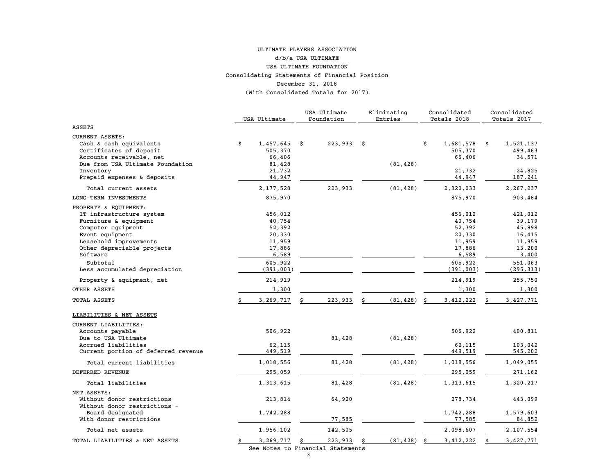#### Consolidating Statements of Financial Position December 31, 2018 (With Consolidated Totals for 2017) ULTIMATE PLAYERS ASSOCIATION d/b/a USA ULTIMATEUSA ULTIMATE FOUNDATION

|                                                                                                                                                                                                     |    |                                                                               | USA Ultimate  |    | Eliminating |    | Consolidated                                                                  |   | Consolidated<br>Totals 2017                                                   |  |
|-----------------------------------------------------------------------------------------------------------------------------------------------------------------------------------------------------|----|-------------------------------------------------------------------------------|---------------|----|-------------|----|-------------------------------------------------------------------------------|---|-------------------------------------------------------------------------------|--|
| ASSETS                                                                                                                                                                                              |    | USA Ultimate                                                                  | Foundation    |    | Entries     |    | Totals 2018                                                                   |   |                                                                               |  |
|                                                                                                                                                                                                     |    |                                                                               |               |    |             |    |                                                                               |   |                                                                               |  |
| <b>CURRENT ASSETS:</b><br>Cash & cash equivalents<br>Certificates of deposit<br>Accounts receivable, net<br>Due from USA Ultimate Foundation                                                        | \$ | 1,457,645<br>505,370<br>66,406<br>81,428                                      | 223,933<br>\$ | \$ | (81, 428)   | \$ | 1,681,578<br>505,370<br>66,406                                                | Ŝ | 1,521,137<br>499,463<br>34,571                                                |  |
| Inventory<br>Prepaid expenses & deposits                                                                                                                                                            |    | 21,732<br>44,947                                                              |               |    |             |    | 21,732<br>44,947                                                              |   | 24,825<br>187,241                                                             |  |
| Total current assets                                                                                                                                                                                |    | 2,177,528                                                                     | 223,933       |    | (81, 428)   |    | 2,320,033                                                                     |   | 2, 267, 237                                                                   |  |
| LONG-TERM INVESTMENTS                                                                                                                                                                               |    | 875,970                                                                       |               |    |             |    | 875,970                                                                       |   | 903,484                                                                       |  |
| PROPERTY & EQUIPMENT:<br>IT infrastructure system<br>Furniture & equipment<br>Computer equipment<br>Event equipment<br>Leasehold improvements<br>Other depreciable projects<br>Software<br>Subtotal |    | 456,012<br>40,754<br>52,392<br>20,330<br>11,959<br>17,886<br>6,589<br>605,922 |               |    |             |    | 456,012<br>40,754<br>52,392<br>20,330<br>11,959<br>17,886<br>6,589<br>605,922 |   | 421,012<br>39,179<br>45,898<br>16,415<br>11,959<br>13,200<br>3,400<br>551,063 |  |
| Less accumulated depreciation                                                                                                                                                                       |    | (391, 003)                                                                    |               |    |             |    | (391, 003)                                                                    |   | (295, 313)                                                                    |  |
| Property & equipment, net                                                                                                                                                                           |    | 214,919                                                                       |               |    |             |    | 214,919                                                                       |   | 255,750                                                                       |  |
| OTHER ASSETS                                                                                                                                                                                        |    | 1,300                                                                         |               |    |             |    | 1,300                                                                         |   | 1,300                                                                         |  |
| TOTAL ASSETS                                                                                                                                                                                        |    | 3,269,717                                                                     | 223,933       |    | (81, 428)   | Ś  | 3, 412, 222                                                                   |   | 3,427,771                                                                     |  |
| LIABILITIES & NET ASSETS                                                                                                                                                                            |    |                                                                               |               |    |             |    |                                                                               |   |                                                                               |  |
| CURRENT LIABILITIES:<br>Accounts payable<br>Due to USA Ultimate<br>Accrued liabilities<br>Current portion of deferred revenue                                                                       |    | 506,922<br>62,115<br>449,519                                                  | 81,428        |    | (81, 428)   |    | 506,922<br>62,115<br>449,519                                                  |   | 400,811<br>103,042<br>545,202                                                 |  |
| Total current liabilities                                                                                                                                                                           |    | 1,018,556                                                                     | 81,428        |    | (81, 428)   |    | 1,018,556                                                                     |   | 1,049,055                                                                     |  |
| DEFERRED REVENUE                                                                                                                                                                                    |    | 295,059                                                                       |               |    |             |    | 295,059                                                                       |   | 271,162                                                                       |  |
| Total liabilities                                                                                                                                                                                   |    | 1,313,615                                                                     | 81,428        |    | (81, 428)   |    | 1,313,615                                                                     |   | 1,320,217                                                                     |  |
| NET ASSETS:<br>Without donor restrictions<br>Without donor restrictions -<br>Board designated                                                                                                       |    | 213,814<br>1,742,288                                                          | 64,920        |    |             |    | 278,734<br>1,742,288                                                          |   | 443,099<br>1,579,603                                                          |  |
| With donor restrictions                                                                                                                                                                             |    |                                                                               | 77,585        |    |             |    | 77,585                                                                        |   | 84,852                                                                        |  |
| Total net assets                                                                                                                                                                                    |    | 1,956,102                                                                     | 142,505       |    |             |    | 2,098,607                                                                     |   | 2,107,554                                                                     |  |
| TOTAL LIABILITIES & NET ASSETS                                                                                                                                                                      | Ŝ. | 3,269,717                                                                     | 223,933       | \$ | (81, 428)   | Ŝ. | 3,412,222                                                                     |   | 3,427,771                                                                     |  |

See Notes to Financial Statements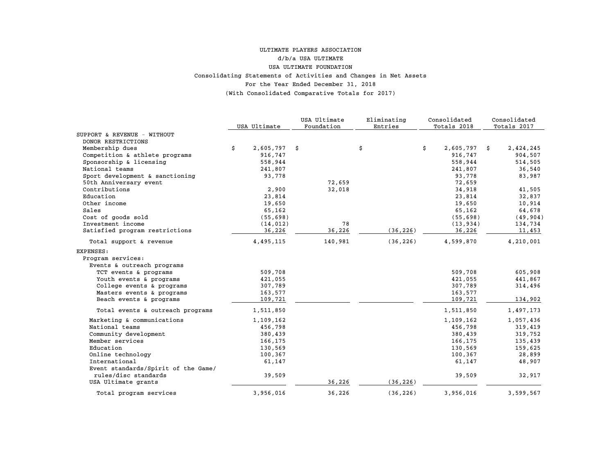#### For the Year Ended December 31, 2018 (With Consolidated Comparative Totals for 2017) Consolidating Statements of Activities and Changes in Net Assets ULTIMATE PLAYERS ASSOCIATION d/b/a USA ULTIMATE USA ULTIMATE FOUNDATION

|                                     | USA Ultimate |           | USA Ultimate<br>Foundation | Eliminating<br>Entries | Consolidated<br>Totals 2018 |           | Consolidated<br>Totals 2017 |           |
|-------------------------------------|--------------|-----------|----------------------------|------------------------|-----------------------------|-----------|-----------------------------|-----------|
| SUPPORT & REVENUE - WITHOUT         |              |           |                            |                        |                             |           |                             |           |
| DONOR RESTRICTIONS                  |              |           |                            |                        |                             |           |                             |           |
| Membership dues                     | \$           | 2,605,797 | \$                         | \$                     | \$                          | 2,605,797 | \$                          | 2,424,245 |
| Competition & athlete programs      |              | 916,747   |                            |                        |                             | 916,747   |                             | 904,507   |
| Sponsorship & licensing             |              | 558,944   |                            |                        |                             | 558,944   |                             | 514,505   |
| National teams                      |              | 241,807   |                            |                        |                             | 241,807   |                             | 36,540    |
| Sport development & sanctioning     |              | 93,778    |                            |                        |                             | 93,778    |                             | 83,987    |
| 50th Anniversary event              |              |           | 72,659                     |                        |                             | 72,659    |                             |           |
| Contributions                       |              | 2,900     | 32,018                     |                        |                             | 34,918    |                             | 41,505    |
| Education                           |              | 23,814    |                            |                        |                             | 23,814    |                             | 32,837    |
| Other income                        |              | 19,650    |                            |                        |                             | 19,650    |                             | 10,914    |
| Sales                               |              | 65,162    |                            |                        |                             | 65,162    |                             | 64,678    |
| Cost of goods sold                  |              | (55, 698) |                            |                        |                             | (55, 698) |                             | (49, 904) |
| Investment income                   |              | (14, 012) | 78                         |                        |                             | (13, 934) |                             | 134,734   |
| Satisfied program restrictions      |              | 36,226    | 36,226                     | (36, 226)              |                             | 36,226    |                             | 11,453    |
| Total support & revenue             |              | 4,495,115 | 140,981                    | (36, 226)              |                             | 4,599,870 |                             | 4,210,001 |
| EXPENSES:                           |              |           |                            |                        |                             |           |                             |           |
| Program services:                   |              |           |                            |                        |                             |           |                             |           |
| Events & outreach programs          |              |           |                            |                        |                             |           |                             |           |
| TCT events & programs               |              | 509,708   |                            |                        |                             | 509,708   |                             | 605,908   |
| Youth events & programs             |              | 421,055   |                            |                        |                             | 421,055   |                             | 441,867   |
| College events & programs           |              | 307,789   |                            |                        |                             | 307,789   |                             | 314,496   |
| Masters events & programs           |              | 163,577   |                            |                        |                             | 163,577   |                             |           |
| Beach events & programs             |              | 109,721   |                            |                        |                             | 109,721   |                             | 134,902   |
| Total events & outreach programs    |              | 1,511,850 |                            |                        |                             | 1,511,850 |                             | 1,497,173 |
| Marketing & communications          |              | 1,109,162 |                            |                        |                             | 1,109,162 |                             | 1,057,436 |
| National teams                      |              | 456,798   |                            |                        |                             | 456,798   |                             | 319,419   |
| Community development               |              | 380,439   |                            |                        |                             | 380,439   |                             | 319,752   |
| Member services                     |              | 166,175   |                            |                        |                             | 166,175   |                             | 135,439   |
| Education                           |              | 130,569   |                            |                        |                             | 130,569   |                             | 159,625   |
| Online technology                   |              | 100,367   |                            |                        |                             | 100,367   |                             | 28,899    |
| International                       |              | 61,147    |                            |                        |                             | 61,147    |                             | 48,907    |
| Event standards/Spirit of the Game/ |              |           |                            |                        |                             |           |                             |           |
| rules/disc standards                |              | 39,509    |                            |                        |                             | 39,509    |                             | 32,917    |
| USA Ultimate grants                 |              |           | 36,226                     | (36, 226)              |                             |           |                             |           |
| Total program services              |              | 3,956,016 | 36,226                     | (36, 226)              |                             | 3,956,016 |                             | 3,599,567 |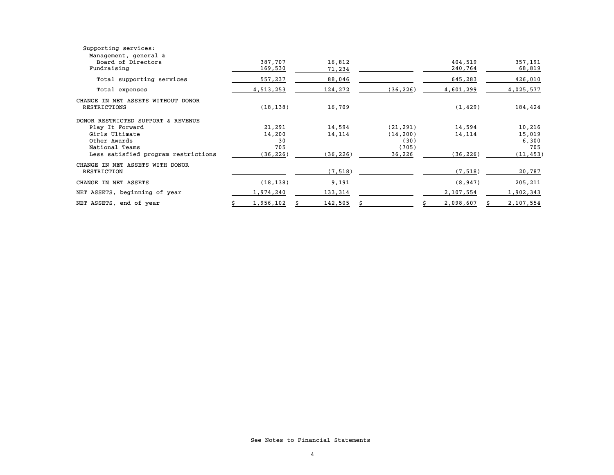| Supporting services:                |           |           |           |           |           |
|-------------------------------------|-----------|-----------|-----------|-----------|-----------|
| Management, general &               |           |           |           |           |           |
| Board of Directors                  | 387.707   | 16,812    |           | 404,519   | 357,191   |
| Fundraising                         | 169,530   | 71,234    |           | 240,764   | 68,819    |
| Total supporting services           | 557,237   | 88,046    |           | 645,283   | 426,010   |
| Total expenses                      | 4,513,253 | 124,272   | (36, 226) | 4,601,299 | 4,025,577 |
| CHANGE IN NET ASSETS WITHOUT DONOR  |           |           |           |           |           |
| RESTRICTIONS                        | (18, 138) | 16,709    |           | (1, 429)  | 184,424   |
| DONOR RESTRICTED SUPPORT & REVENUE  |           |           |           |           |           |
| Play It Forward                     | 21,291    | 14,594    | (21, 291) | 14,594    | 10,216    |
| Girls Ultimate                      | 14,200    | 14,114    | (14, 200) | 14,114    | 15,019    |
| Other Awards                        | 30        |           | (30)      |           | 6,300     |
| National Teams                      | 705       |           | (705)     |           | 705       |
| Less satisfied program restrictions | (36,226)  | (36, 226) | 36,226    | (36, 226) | (11, 453) |
| CHANGE IN NET ASSETS WITH DONOR     |           |           |           |           |           |
| RESTRICTION                         |           | (7, 518)  |           | (7, 518)  | 20,787    |
| CHANGE IN NET ASSETS                | (18, 138) | 9,191     |           | (8, 947)  | 205,211   |
| NET ASSETS, beginning of year       | 1,974,240 | 133,314   |           | 2,107,554 | 1,902,343 |
| NET ASSETS, end of year             | 1,956,102 | 142,505   |           | 2,098,607 | 2,107,554 |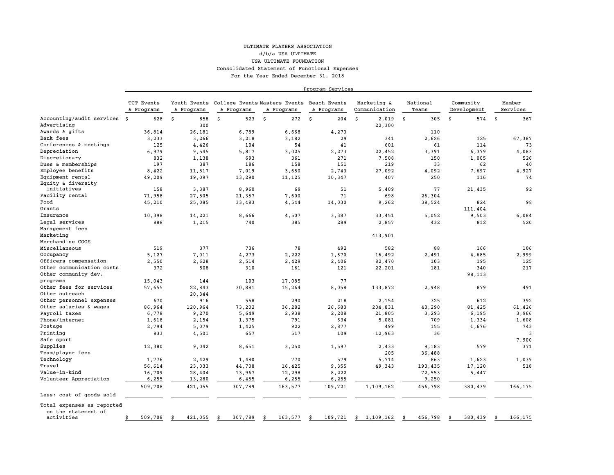#### For the Year Ended December 31, 2018 ULTIMATE PLAYERS ASSOCIATIONd/b/a USA ULTIMATEUSA ULTIMATE FOUNDATION Consolidated Statement of Functional Expenses

Program Services

|                            | TCT Events<br>& Programs | & Programs    | & Programs    | Youth Events College Events Masters Events Beach Events<br>& Programs | & Programs    | Marketing &<br>Communication | National<br>Teams | Community<br>Development | Member<br>Services |
|----------------------------|--------------------------|---------------|---------------|-----------------------------------------------------------------------|---------------|------------------------------|-------------------|--------------------------|--------------------|
| Accounting/audit services  | 628<br>s.                | \$<br>858     | 523<br>\$     | \$<br>272                                                             | \$<br>204     | 2,019<br>\$                  | \$<br>305         | \$<br>574                | Ŝ.<br>367          |
| Advertising                |                          | 300           |               |                                                                       |               | 22,300                       |                   |                          |                    |
| Awards & gifts             | 36,814                   | 26,181        | 6.789         | 6,668                                                                 | 4.273         |                              | 110               |                          |                    |
| Bank fees                  | 3,233                    | 3,266         | 3,218         | 3,182                                                                 | 29            | 341                          | 2,626             | 125                      | 67,387             |
| Conferences & meetings     | 125                      | 4,426         | 104           | 54                                                                    | 41            | 601                          | 61                | 114                      | 73                 |
| Depreciation               | 6,979                    | 9,545         | 5,817         | 3,025                                                                 | 2,273         | 22,452                       | 3,391             | 6,379                    | 4,083              |
| Discretionary              | 832                      | 1,138         | 693           | 361                                                                   | 271           | 7,508                        | 150               | 1,005                    | 526                |
| Dues & memberships         | 197                      | 387           | 186           | 158                                                                   | 151           | 219                          | 33                | 62                       | 40                 |
| Employee benefits          | 8,422                    | 11,517        | 7,019         | 3,650                                                                 | 2,743         | 27,092                       | 4,092             | 7,697                    | 4,927              |
| Equipment rental           | 49,209                   | 19,097        | 13,290        | 11,125                                                                | 10,347        | 407                          | 250               | 116                      | 74                 |
| Equity & diversity         |                          |               |               |                                                                       |               |                              |                   |                          |                    |
| initiatives                | 158                      | 3,387         | 8,960         | 69                                                                    | 51            | 5,409                        | 77                | 21,435                   | 92                 |
| Facility rental            | 71,958                   | 27,505        | 21,357        | 7,600                                                                 | 71            | 698                          | 26,304            |                          |                    |
| Food                       | 45,210                   | 25,085        | 33,483        | 4,544                                                                 | 14,030        | 9,262                        | 38,524            | 824                      | 98                 |
| Grants                     |                          |               |               |                                                                       |               |                              |                   | 111,404                  |                    |
| Insurance                  | 10,398                   | 14,221        | 8,666         | 4,507                                                                 | 3,387         | 33,451                       | 5,052             | 9,503                    | 6,084              |
| Legal services             | 888                      | 1,215         | 740           | 385                                                                   | 289           | 2,857                        | 432               | 812                      | 520                |
| Management fees            |                          |               |               |                                                                       |               |                              |                   |                          |                    |
| Marketing                  |                          |               |               |                                                                       |               | 413,901                      |                   |                          |                    |
| Merchandise COGS           |                          |               |               |                                                                       |               |                              |                   |                          |                    |
| Miscellaneous              | 519                      | 377           | 736           | 78                                                                    | 492           | 582                          | 88                | 166                      | 106                |
| Occupancy                  | 5,127                    | 7,011         | 4,273         | 2,222                                                                 | 1,670         | 16,492                       | 2,491             | 4,685                    | 2,999              |
| Officers compensation      | 2,550                    | 2,628         | 2,514         | 2,429                                                                 | 2,406         | 82,470                       | 103               | 195                      | 125                |
| Other communication costs  | 372                      | 508           | 310           | 161                                                                   | 121           | 22,201                       | 181               | 340                      | 217                |
| Other community dev.       |                          |               |               |                                                                       |               |                              |                   | 98,113                   |                    |
| programs                   | 15,043                   | 144           | 103           | 17,085                                                                | 77            |                              |                   |                          |                    |
| Other fees for services    | 57,655                   | 22,843        | 30,881        | 15,264                                                                | 8,058         | 133,872                      | 2,948             | 879                      | 491                |
| Other outreach             |                          | 20,344        |               |                                                                       |               |                              |                   |                          |                    |
| Other personnel expenses   | 670                      | 916           | 558           | 290                                                                   | 218           | 2,154                        | 325               | 612                      | 392                |
| Other salaries & wages     | 86,964                   | 120,964       | 73,202        | 36,282                                                                | 26,683        | 204,831                      | 43,290            | 81,425                   | 61,426             |
| Payroll taxes              | 6,778                    | 9,270         | 5,649         | 2,938                                                                 | 2,208         | 21,805                       | 3,293             | 6,195                    | 3,966              |
| Phone/internet             | 1,618                    | 2,154         | 1,375         | 791                                                                   | 634           | 5,081                        | 709               | 1,334                    | 1,608              |
| Postage                    | 2,794                    | 5,079         | 1,425         | 922                                                                   | 2,877         | 499                          | 155               | 1,676                    | 743                |
| Printing                   | 833                      | 4,501         | 657           | 517                                                                   | 109           | 12,963                       | 36                |                          | $\overline{3}$     |
| Safe sport                 |                          |               |               |                                                                       |               |                              |                   |                          | 7,900              |
| Supplies                   | 12,380                   | 9,042         | 8,651         | 3,250                                                                 | 1,597         | 2,433                        | 9,183             | 579                      | 371                |
| Team/player fees           |                          |               |               |                                                                       |               | 205                          | 36,488            |                          |                    |
| Technology                 | 1,776                    | 2,429         | 1,480         | 770                                                                   | 579           | 5,714                        | 863               | 1,623                    | 1,039              |
| Travel                     | 56,614                   | 23,033        | 44,708        | 16,425                                                                | 9,355         | 49,343                       | 193,435           | 17,120                   | 518                |
| Value-in-kind              | 16,709                   | 28,404        | 13,967        | 12,298                                                                | 8,222         |                              | 72,553            | 5,447                    |                    |
| Volunteer Appreciation     | 6,255                    | 13,280        | 6,455         | 6,255                                                                 | 6,255         |                              | 9,250             |                          |                    |
|                            | 509,708                  | 421,055       | 307,789       | 163,577                                                               |               | 1,109,162                    |                   |                          | 166,175            |
| Less: cost of goods sold   |                          |               |               |                                                                       | 109,721       |                              | 456,798           | 380,439                  |                    |
| Total expenses as reported |                          |               |               |                                                                       |               |                              |                   |                          |                    |
| on the statement of        |                          |               |               |                                                                       |               |                              |                   |                          |                    |
| activities                 | 509,708<br>\$            | 421,055<br>Ŝ. | 307,789<br>S. | 163,577<br>Ŝ.                                                         | 109,721<br>\$ | 1,109,162<br>\$              | 456,798<br>Ŝ      | 380,439<br>Ŝ             | 166,175<br>Ŝ.      |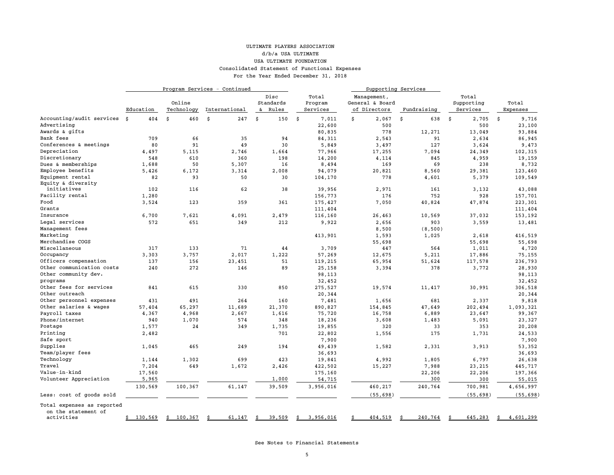#### ULTIMATE PLAYERS ASSOCIATIONd/b/a USA ULTIMATEUSA ULTIMATE FOUNDATION Consolidated Statement of Functional Expenses For the Year Ended December 31, 2018

|                            | Program Services - Continued |               |               |                   |                  |                                |              |                     |                 |
|----------------------------|------------------------------|---------------|---------------|-------------------|------------------|--------------------------------|--------------|---------------------|-----------------|
|                            |                              | Online        |               | Disc<br>Standards | Total<br>Program | Management,<br>General & Board |              | Total<br>Supporting | Total           |
|                            | Education                    | Technology    | International | & Rules           | Services         | of Directors                   | Fundraising  | Services            | Expenses        |
| Accounting/audit services  | Ŝ.<br>404                    | 460<br>\$     | Ś<br>247      | 150               | 7,011<br>Ŝ       | \$<br>2,067                    | \$<br>638    | 2,705<br>\$         | Ŝ.<br>9,716     |
| Advertising                |                              |               |               |                   | 22,600           | 500                            |              | 500                 | 23,100          |
| Awards & gifts             |                              |               |               |                   | 80,835           | 778                            | 12,271       | 13,049              | 93,884          |
| Bank fees                  | 709                          | 66            | 35            | 94                | 84,311           | 2,543                          | 91           | 2,634               | 86,945          |
| Conferences & meetings     | 80                           | 91            | 49            | 30                | 5,849            | 3,497                          | 127          | 3,624               | 9,473           |
| Depreciation               | 4,497                        | 5,115         | 2,746         | 1,664             | 77,966           | 17,255                         | 7,094        | 24,349              | 102,315         |
| Discretionary              | 548                          | 610           | 360           | 198               | 14,200           | 4,114                          | 845          | 4,959               | 19,159          |
| Dues & memberships         | 1,688                        | 50            | 5,307         | 16                | 8,494            | 169                            | 69           | 238                 | 8,732           |
| Employee benefits          | 5,426                        | 6,172         | 3,314         | 2,008             | 94,079           | 20,821                         | 8,560        | 29,381              | 123,460         |
| Equipment rental           | 82                           | 93            | 50            | 30                | 104,170          | 778                            | 4,601        | 5,379               | 109,549         |
| Equity & diversity         |                              |               |               |                   |                  |                                |              |                     |                 |
| initiatives                | 102                          | 116           | 62            | 38                | 39,956           | 2,971                          | 161          | 3,132               | 43,088          |
| Facility rental            | 1,280                        |               |               |                   | 156,773          | 176                            | 752          | 928                 | 157,701         |
| Food                       | 3,524                        | 123           | 359           | 361               | 175,427          | 7,050                          | 40,824       | 47,874              | 223,301         |
| Grants                     |                              |               |               |                   | 111,404          |                                |              |                     | 111,404         |
| Insurance                  | 6,700                        | 7,621         | 4,091         | 2,479             | 116,160          | 26,463                         | 10,569       | 37,032              | 153,192         |
| Legal services             | 572                          | 651           | 349           | 212               | 9,922            | 2,656                          | 903          | 3,559               | 13,481          |
| Management fees            |                              |               |               |                   |                  | 8,500                          | (8, 500)     |                     |                 |
| Marketing                  |                              |               |               |                   | 413,901          | 1,593                          | 1,025        | 2,618               | 416,519         |
| Merchandise COGS           |                              |               |               |                   |                  | 55,698                         |              | 55,698              | 55,698          |
| Miscellaneous              | 317                          | 133           | 71            | 44                | 3,709            | 447                            | 564          | 1,011               | 4,720           |
| Occupancy                  | 3,303                        | 3,757         | 2,017         | 1,222             | 57,269           | 12,675                         | 5,211        | 17,886              | 75,155          |
| Officers compensation      | 137                          | 156           | 23,451        | 51                | 119,215          | 65,954                         | 51,624       | 117,578             | 236,793         |
| Other communication costs  | 240                          | 272           | 146           | 89                | 25,158           | 3,394                          | 378          | 3,772               | 28,930          |
| Other community dev.       |                              |               |               |                   | 98,113           |                                |              |                     | 98,113          |
| programs                   |                              |               |               |                   | 32,452           |                                |              |                     | 32,452          |
| Other fees for services    | 841                          | 615           | 330           | 850               | 275,527          | 19,574                         | 11,417       | 30,991              | 306,518         |
| Other outreach             |                              |               |               |                   | 20,344           |                                |              |                     | 20,344          |
| Other personnel expenses   | 431                          | 491           | 264           | 160               | 7,481            | 1,656                          | 681          | 2,337               | 9,818           |
| Other salaries & wages     | 57,404                       | 65,297        | 11,689        | 21,370            | 890,827          | 154,845                        | 47,649       | 202,494             | 1,093,321       |
| Payroll taxes              | 4,367                        | 4,968         | 2,667         | 1,616             | 75,720           | 16,758                         | 6,889        | 23,647              | 99,367          |
| Phone/internet             | 940                          | 1,070         | 574           | 348               | 18,236           | 3,608                          | 1,483        | 5,091               | 23,327          |
| Postage                    | 1,577                        | 24            | 349           | 1,735             | 19,855           | 320                            | 33           | 353                 | 20,208          |
| Printing                   | 2,482                        |               |               | 701               | 22,802           | 1,556                          | 175          | 1,731               | 24,533          |
| Safe sport                 |                              |               |               |                   | 7,900            |                                |              |                     | 7,900           |
| Supplies                   | 1,045                        | 465           | 249           | 194               | 49,439           | 1,582                          | 2,331        | 3,913               | 53,352          |
| Team/player fees           |                              |               |               |                   | 36,693           |                                |              |                     | 36,693          |
| Technology                 | 1,144                        | 1,302         | 699           | 423               | 19,841           | 4,992                          | 1,805        | 6,797               | 26,638          |
| Travel                     | 7,204                        | 649           | 1,672         | 2,426             | 422,502          | 15,227                         | 7,988        | 23,215              | 445,717         |
| Value-in-kind              | 17,560                       |               |               |                   | 175,160          |                                | 22,206       | 22,206              | 197,366         |
| Volunteer Appreciation     | 5,965                        |               |               | 1,000             | 54,715           |                                | 300          | 300                 | 55,015          |
|                            | 130,569                      | 100,367       | 61,147        | 39,509            | 3,956,016        | 460,217                        | 240,764      | 700,981             | 4,656,997       |
| Less: cost of goods sold   |                              |               |               |                   |                  | (55, 698)                      |              | (55, 698)           | (55, 698)       |
| Total expenses as reported |                              |               |               |                   |                  |                                |              |                     |                 |
| on the statement of        |                              |               |               |                   |                  |                                |              |                     |                 |
| activities                 | 130,569<br>\$                | \$<br>100,367 | 61,147<br>Ŝ   | 39,509<br>Ś       | 3,956,016<br>\$  | 404,519                        | 240,764<br>Ś | 645,283<br>\$       | \$<br>4,601,299 |

See Notes to Financial Statements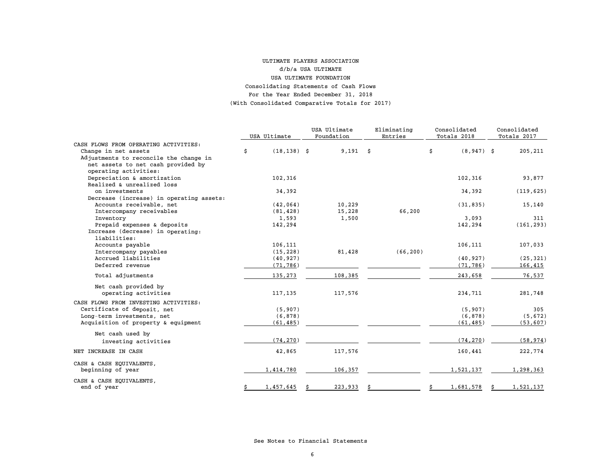#### For the Year Ended December 31, 2018 (With Consolidated Comparative Totals for 2017) ULTIMATE PLAYERS ASSOCIATION d/b/a USA ULTIMATEUSA ULTIMATE FOUNDATION Consolidating Statements of Cash Flows

|                                          |    |                | USA Ultimate |            | Eliminating | Consolidated |              | Consolidated |             |
|------------------------------------------|----|----------------|--------------|------------|-------------|--------------|--------------|--------------|-------------|
|                                          |    | USA Ultimate   |              | Foundation | Entries     |              | Totals 2018  |              | Totals 2017 |
| CASH FLOWS FROM OPERATING ACTIVITIES:    |    |                |              |            |             |              |              |              |             |
| Change in net assets                     | \$ | $(18, 138)$ \$ |              | $9,191$ \$ |             | \$           | $(8,947)$ \$ |              | 205,211     |
| Adjustments to reconcile the change in   |    |                |              |            |             |              |              |              |             |
| net assets to net cash provided by       |    |                |              |            |             |              |              |              |             |
| operating activities:                    |    |                |              |            |             |              |              |              |             |
| Depreciation & amortization              |    | 102,316        |              |            |             |              | 102,316      |              | 93,877      |
| Realized & unrealized loss               |    |                |              |            |             |              |              |              |             |
| on investments                           |    | 34,392         |              |            |             |              | 34,392       |              | (119, 625)  |
| Decrease (increase) in operating assets: |    |                |              |            |             |              |              |              |             |
| Accounts receivable, net                 |    | (42, 064)      |              | 10,229     |             |              | (31, 835)    |              | 15,140      |
| Intercompany receivables                 |    | (81, 428)      |              | 15,228     | 66,200      |              |              |              |             |
| Inventory                                |    | 1,593          |              | 1,500      |             |              | 3,093        |              | 311         |
| Prepaid expenses & deposits              |    | 142,294        |              |            |             |              | 142,294      |              | (161, 293)  |
| Increase (decrease) in operating:        |    |                |              |            |             |              |              |              |             |
| liabilities:                             |    |                |              |            |             |              |              |              |             |
| Accounts payable                         |    | 106,111        |              |            |             |              | 106,111      |              | 107,033     |
| Intercompany payables                    |    | (15, 228)      |              | 81,428     | (66, 200)   |              |              |              |             |
| Accrued liabilities                      |    | (40, 927)      |              |            |             |              | (40, 927)    |              | (25, 321)   |
| Deferred revenue                         |    | (71, 786)      |              |            |             |              | (71, 786)    |              | 166,415     |
|                                          |    |                |              |            |             |              |              |              |             |
| Total adjustments                        |    | 135,273        |              | 108,385    |             |              | 243,658      |              | 76,537      |
| Net cash provided by                     |    |                |              |            |             |              |              |              |             |
| operating activities                     |    | 117,135        |              | 117,576    |             |              | 234,711      |              | 281,748     |
| CASH FLOWS FROM INVESTING ACTIVITIES:    |    |                |              |            |             |              |              |              |             |
| Certificate of deposit, net              |    | (5, 907)       |              |            |             |              | (5, 907)     |              | 305         |
| Long-term investments, net               |    | (6, 878)       |              |            |             |              | (6, 878)     |              | (5,672)     |
| Acquisition of property & equipment      |    | (61, 485)      |              |            |             |              |              |              |             |
|                                          |    |                |              |            |             |              | (61, 485)    |              | (53, 607)   |
| Net cash used by                         |    |                |              |            |             |              |              |              |             |
| investing activities                     |    | (74, 270)      |              |            |             |              | (74, 270)    |              | (58, 974)   |
| NET INCREASE IN CASH                     |    | 42,865         |              | 117,576    |             |              | 160,441      |              | 222,774     |
| CASH & CASH EQUIVALENTS,                 |    |                |              |            |             |              |              |              |             |
| beginning of year                        |    | 1,414,780      |              | 106,357    |             |              | 1,521,137    |              | 1,298,363   |
| CASH & CASH EQUIVALENTS,                 |    |                |              |            |             |              |              |              |             |
| end of year                              | \$ | 1,457,645      |              | 223,933    |             | Ŝ            | 1,681,578    |              | 1,521,137   |

See Notes to Financial Statements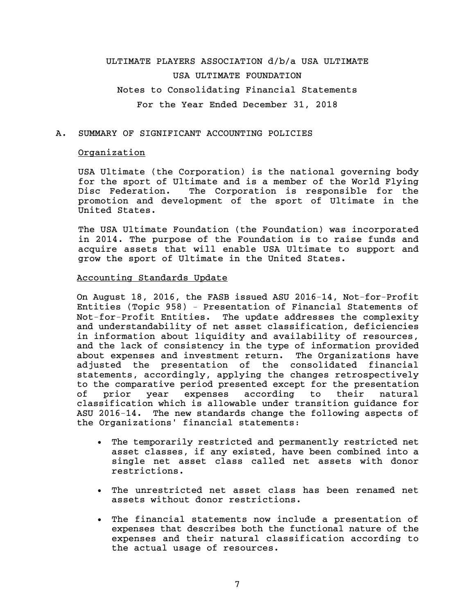# ULTIMATE PLAYERS ASSOCIATION d/b/a USA ULTIMATE USA ULTIMATE FOUNDATION Notes to Consolidating Financial Statements For the Year Ended December 31, 2018

## A. SUMMARY OF SIGNIFICANT ACCOUNTING POLICIES

## **Organization**

USA Ultimate (the Corporation) is the national governing body for the sport of Ultimate and is a member of the World Flying Disc Federation. The Corporation is responsible for the promotion and development of the sport of Ultimate in the United States.

The USA Ultimate Foundation (the Foundation) was incorporated in 2014. The purpose of the Foundation is to raise funds and acquire assets that will enable USA Ultimate to support and grow the sport of Ultimate in the United States.

#### Accounting Standards Update

On August 18, 2016, the FASB issued ASU 2016-14, Not-for-Profit Entities (Topic 958) – Presentation of Financial Statements of Not-for-Profit Entities. The update addresses the complexity and understandability of net asset classification, deficiencies in information about liquidity and availability of resources, and the lack of consistency in the type of information provided about expenses and investment return. The Organizations have adjusted the presentation of the consolidated financial statements, accordingly, applying the changes retrospectively to the comparative period presented except for the presentation of prior year expenses according to their natural classification which is allowable under transition guidance for ASU 2016-14. The new standards change the following aspects of the Organizations' financial statements:

- The temporarily restricted and permanently restricted net asset classes, if any existed, have been combined into a single net asset class called net assets with donor restrictions.
- The unrestricted net asset class has been renamed net assets without donor restrictions.
- The financial statements now include a presentation of expenses that describes both the functional nature of the expenses and their natural classification according to the actual usage of resources.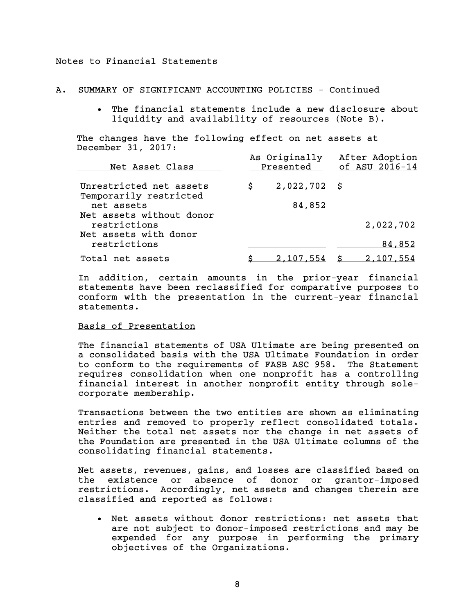## A. SUMMARY OF SIGNIFICANT ACCOUNTING POLICIES - Continued

 The financial statements include a new disclosure about liquidity and availability of resources (Note B).

The changes have the following effect on net assets at December 31, 2017: As developed After Adoption

| Net Asset Class                          |   | As Originally<br>Presented | Atter Adoption<br>of ASU 2016-14 |  |  |  |
|------------------------------------------|---|----------------------------|----------------------------------|--|--|--|
| Unrestricted net assets                  | S | $2,022,702$ \$             |                                  |  |  |  |
| Temporarily restricted<br>net assets     |   | 84,852                     |                                  |  |  |  |
| Net assets without donor<br>restrictions |   |                            | 2,022,702                        |  |  |  |
| Net assets with donor<br>restrictions    |   |                            | 84,852                           |  |  |  |
| Total net assets                         |   | <u>2,107,554</u>           | <u>2,107,554</u>                 |  |  |  |

In addition, certain amounts in the prior-year financial statements have been reclassified for comparative purposes to conform with the presentation in the current-year financial statements.

### Basis of Presentation

The financial statements of USA Ultimate are being presented on a consolidated basis with the USA Ultimate Foundation in order to conform to the requirements of FASB ASC 958. The Statement requires consolidation when one nonprofit has a controlling financial interest in another nonprofit entity through solecorporate membership.

Transactions between the two entities are shown as eliminating entries and removed to properly reflect consolidated totals. Neither the total net assets nor the change in net assets of the Foundation are presented in the USA Ultimate columns of the consolidating financial statements.

Net assets, revenues, gains, and losses are classified based on the existence or absence of donor or grantor-imposed restrictions. Accordingly, net assets and changes therein are classified and reported as follows:

 Net assets without donor restrictions: net assets that are not subject to donor-imposed restrictions and may be expended for any purpose in performing the primary objectives of the Organizations.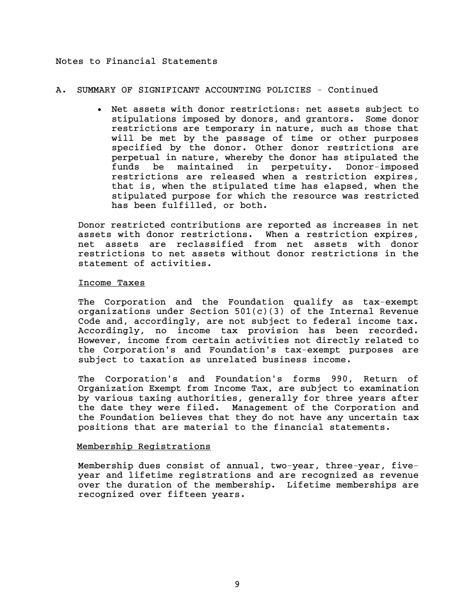## A. SUMMARY OF SIGNIFICANT ACCOUNTING POLICIES - Continued

 Net assets with donor restrictions: net assets subject to stipulations imposed by donors, and grantors. Some donor restrictions are temporary in nature, such as those that will be met by the passage of time or other purposes specified by the donor. Other donor restrictions are perpetual in nature, whereby the donor has stipulated the funds be maintained in perpetuity. Donor-imposed restrictions are released when a restriction expires, that is, when the stipulated time has elapsed, when the stipulated purpose for which the resource was restricted has been fulfilled, or both.

Donor restricted contributions are reported as increases in net assets with donor restrictions. When a restriction expires, net assets are reclassified from net assets with donor restrictions to net assets without donor restrictions in the statement of activities.

### Income Taxes

The Corporation and the Foundation qualify as tax-exempt organizations under Section  $501(c)(3)$  of the Internal Revenue Code and, accordingly, are not subject to federal income tax. Accordingly, no income tax provision has been recorded. However, income from certain activities not directly related to the Corporation's and Foundation's tax-exempt purposes are subject to taxation as unrelated business income.

The Corporation's and Foundation's forms 990, Return of Organization Exempt from Income Tax, are subject to examination by various taxing authorities, generally for three years after the date they were filed. Management of the Corporation and the Foundation believes that they do not have any uncertain tax positions that are material to the financial statements.

## Membership Registrations

Membership dues consist of annual, two-year, three-year, fiveyear and lifetime registrations and are recognized as revenue over the duration of the membership. Lifetime memberships are recognized over fifteen years.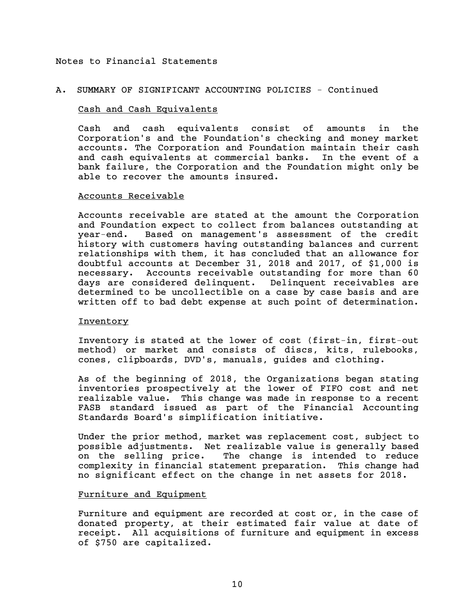### A. SUMMARY OF SIGNIFICANT ACCOUNTING POLICIES - Continued

#### Cash and Cash Equivalents

Cash and cash equivalents consist of amounts in the Corporation's and the Foundation's checking and money market accounts. The Corporation and Foundation maintain their cash and cash equivalents at commercial banks. In the event of a bank failure, the Corporation and the Foundation might only be able to recover the amounts insured.

#### Accounts Receivable

Accounts receivable are stated at the amount the Corporation and Foundation expect to collect from balances outstanding at year-end. Based on management's assessment of the credit history with customers having outstanding balances and current relationships with them, it has concluded that an allowance for doubtful accounts at December 31, 2018 and 2017, of \$1,000 is necessary. Accounts receivable outstanding for more than 60 days are considered delinquent. Delinquent receivables are determined to be uncollectible on a case by case basis and are written off to bad debt expense at such point of determination.

#### Inventory

Inventory is stated at the lower of cost (first-in, first-out method) or market and consists of discs, kits, rulebooks, cones, clipboards, DVD's, manuals, guides and clothing.

As of the beginning of 2018, the Organizations began stating inventories prospectively at the lower of FIFO cost and net realizable value. This change was made in response to a recent FASB standard issued as part of the Financial Accounting Standards Board's simplification initiative.

Under the prior method, market was replacement cost, subject to possible adjustments. Net realizable value is generally based on the selling price. The change is intended to reduce complexity in financial statement preparation. This change had no significant effect on the change in net assets for 2018.

## Furniture and Equipment

Furniture and equipment are recorded at cost or, in the case of donated property, at their estimated fair value at date of receipt. All acquisitions of furniture and equipment in excess of \$750 are capitalized.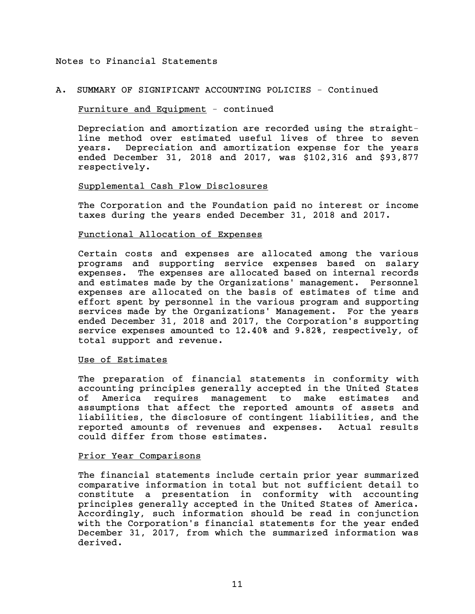## A. SUMMARY OF SIGNIFICANT ACCOUNTING POLICIES - Continued

### Furniture and Equipment - continued

Depreciation and amortization are recorded using the straightline method over estimated useful lives of three to seven years. Depreciation and amortization expense for the years ended December 31, 2018 and 2017, was \$102,316 and \$93,877 respectively.

### Supplemental Cash Flow Disclosures

The Corporation and the Foundation paid no interest or income taxes during the years ended December 31, 2018 and 2017.

## Functional Allocation of Expenses

Certain costs and expenses are allocated among the various programs and supporting service expenses based on salary expenses. The expenses are allocated based on internal records and estimates made by the Organizations' management. Personnel expenses are allocated on the basis of estimates of time and effort spent by personnel in the various program and supporting services made by the Organizations' Management. For the years ended December 31, 2018 and 2017, the Corporation's supporting service expenses amounted to 12.40% and 9.82%, respectively, of total support and revenue.

#### Use of Estimates

The preparation of financial statements in conformity with accounting principles generally accepted in the United States of America requires management to make estimates and assumptions that affect the reported amounts of assets and liabilities, the disclosure of contingent liabilities, and the reported amounts of revenues and expenses. Actual results could differ from those estimates.

#### Prior Year Comparisons

The financial statements include certain prior year summarized comparative information in total but not sufficient detail to constitute a presentation in conformity with accounting principles generally accepted in the United States of America. Accordingly, such information should be read in conjunction with the Corporation's financial statements for the year ended December 31, 2017, from which the summarized information was derived.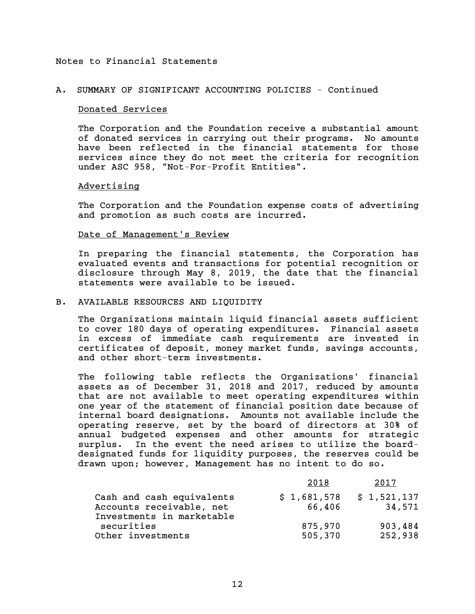## A. SUMMARY OF SIGNIFICANT ACCOUNTING POLICIES - Continued

#### Donated Services

The Corporation and the Foundation receive a substantial amount of donated services in carrying out their programs. No amounts have been reflected in the financial statements for those services since they do not meet the criteria for recognition under ASC 958, "Not-For-Profit Entities".

#### Advertising

The Corporation and the Foundation expense costs of advertising and promotion as such costs are incurred.

## Date of Management's Review

In preparing the financial statements, the Corporation has evaluated events and transactions for potential recognition or disclosure through May 8, 2019, the date that the financial statements were available to be issued.

#### B. AVAILABLE RESOURCES AND LIQUIDITY

The Organizations maintain liquid financial assets sufficient to cover 180 days of operating expenditures. Financial assets in excess of immediate cash requirements are invested in certificates of deposit, money market funds, savings accounts, and other short-term investments.

The following table reflects the Organizations' financial assets as of December 31, 2018 and 2017, reduced by amounts that are not available to meet operating expenditures within one year of the statement of financial position date because of internal board designations. Amounts not available include the operating reserve, set by the board of directors at 30% of annual budgeted expenses and other amounts for strategic surplus. In the event the need arises to utilize the boarddesignated funds for liquidity purposes, the reserves could be drawn upon; however, Management has no intent to do so.

|                                                                                    | 2018                  | 2017                  |
|------------------------------------------------------------------------------------|-----------------------|-----------------------|
| Cash and cash equivalents<br>Accounts receivable, net<br>Investments in marketable | \$1,681,578<br>66,406 | \$1,521,137<br>34,571 |
| securities<br>Other investments                                                    | 875,970<br>505,370    | 903,484<br>252,938    |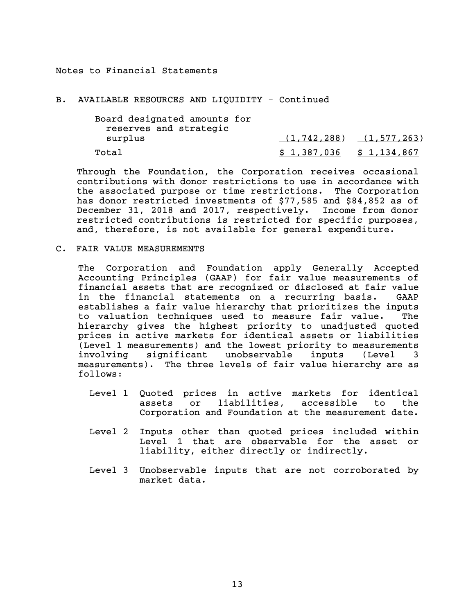#### B. AVAILABLE RESOURCES AND LIQUIDITY - Continued

| Board designated amounts for |                                 |  |
|------------------------------|---------------------------------|--|
| reserves and strategic       |                                 |  |
| surplus                      | $(1, 742, 288)$ $(1, 577, 263)$ |  |
| Total                        | $$1,387,036 \qquad $1,134,867$  |  |

Through the Foundation, the Corporation receives occasional contributions with donor restrictions to use in accordance with the associated purpose or time restrictions. The Corporation has donor restricted investments of \$77,585 and \$84,852 as of December 31, 2018 and 2017, respectively. Income from donor restricted contributions is restricted for specific purposes, and, therefore, is not available for general expenditure.

C. FAIR VALUE MEASUREMENTS

The Corporation and Foundation apply Generally Accepted Accounting Principles (GAAP) for fair value measurements of financial assets that are recognized or disclosed at fair value in the financial statements on a recurring basis. GAAP establishes a fair value hierarchy that prioritizes the inputs to valuation techniques used to measure fair value. The hierarchy gives the highest priority to unadjusted quoted prices in active markets for identical assets or liabilities (Level 1 measurements) and the lowest priority to measurements involving significant unobservable inputs (Level 3 measurements). The three levels of fair value hierarchy are as follows:

- Level 1 Quoted prices in active markets for identical assets or liabilities, accessible to the Corporation and Foundation at the measurement date.
- Level 2 Inputs other than quoted prices included within Level 1 that are observable for the asset or liability, either directly or indirectly.
- Level 3 Unobservable inputs that are not corroborated by market data.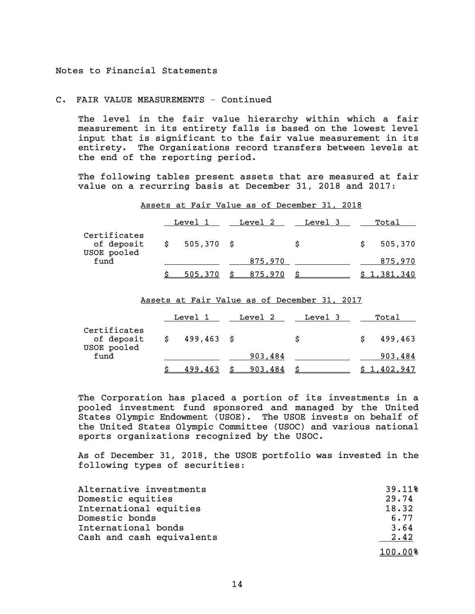## C. FAIR VALUE MEASUREMENTS - Continued

The level in the fair value hierarchy within which a fair measurement in its entirety falls is based on the lowest level input that is significant to the fair value measurement in its entirety. The Organizations record transfers between levels at the end of the reporting period.

The following tables present assets that are measured at fair value on a recurring basis at December 31, 2018 and 2017:

| Assets at Fair Value as of December 31, 2018 |  |  |
|----------------------------------------------|--|--|
|----------------------------------------------|--|--|

|                                           |   | Level 1      | Level 2 | Level 3 | Total   |
|-------------------------------------------|---|--------------|---------|---------|---------|
| Certificates<br>of deposit<br>USOE pooled | S | $505,370$ \$ |         | S       | 505,370 |
| fund                                      |   |              | 875,970 |         | 875,970 |
|                                           |   | 505.370      | 875.970 |         | $-381$  |

Assets at Fair Value as of December 31, 2017

|                                           | Level 1       | Level 2 | Level 3 | Total   |
|-------------------------------------------|---------------|---------|---------|---------|
| Certificates<br>of deposit<br>USOE pooled | $499, 463$ \$ |         | S       | 499,463 |
| fund                                      |               | 903,484 |         | 903,484 |
|                                           | 499,463       | 903,484 |         | 402.947 |

The Corporation has placed a portion of its investments in a pooled investment fund sponsored and managed by the United States Olympic Endowment (USOE). The USOE invests on behalf of the United States Olympic Committee (USOC) and various national sports organizations recognized by the USOC.

As of December 31, 2018, the USOE portfolio was invested in the following types of securities:

| Alternative investments   | 39.11%  |
|---------------------------|---------|
| Domestic equities         | 29.74   |
| International equities    | 18.32   |
| Domestic bonds            | 6.77    |
| International bonds       | 3.64    |
| Cash and cash equivalents | 2.42    |
|                           | 100.00% |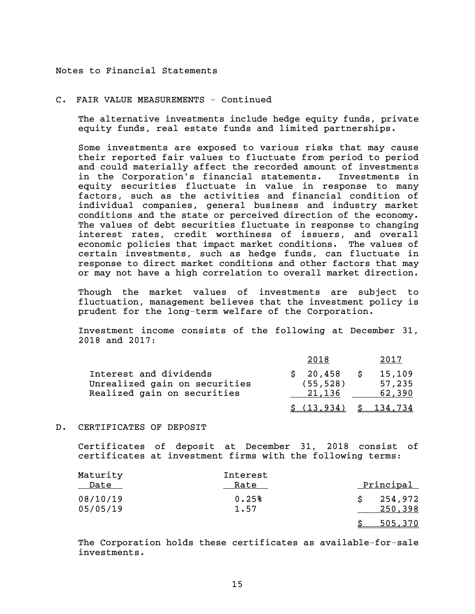#### C. FAIR VALUE MEASUREMENTS - Continued

The alternative investments include hedge equity funds, private equity funds, real estate funds and limited partnerships.

Some investments are exposed to various risks that may cause their reported fair values to fluctuate from period to period and could materially affect the recorded amount of investments in the Corporation's financial statements. Investments in equity securities fluctuate in value in response to many factors, such as the activities and financial condition of individual companies, general business and industry market conditions and the state or perceived direction of the economy. The values of debt securities fluctuate in response to changing interest rates, credit worthiness of issuers, and overall economic policies that impact market conditions. The values of certain investments, such as hedge funds, can fluctuate in response to direct market conditions and other factors that may or may not have a high correlation to overall market direction.

Though the market values of investments are subject to fluctuation, management believes that the investment policy is prudent for the long-term welfare of the Corporation.

Investment income consists of the following at December 31, 2018 and 2017:

|                                                                                        | 2018                            | 2017                       |
|----------------------------------------------------------------------------------------|---------------------------------|----------------------------|
| Interest and dividends<br>Unrealized gain on securities<br>Realized gain on securities | \$20,458<br>(55, 528)<br>21.136 | 15,109<br>57,235<br>62,390 |
|                                                                                        | \$ (13.934)                     | \$ 134.734                 |

## D. CERTIFICATES OF DEPOSIT

Certificates of deposit at December 31, 2018 consist of certificates at investment firms with the following terms:

| Maturity<br>Date     | Interest<br>Rate | Principal          |
|----------------------|------------------|--------------------|
| 08/10/19<br>05/05/19 | 0.25%<br>1.57    | 254,972<br>250,398 |
|                      |                  | 505,370            |

The Corporation holds these certificates as available-for-sale investments.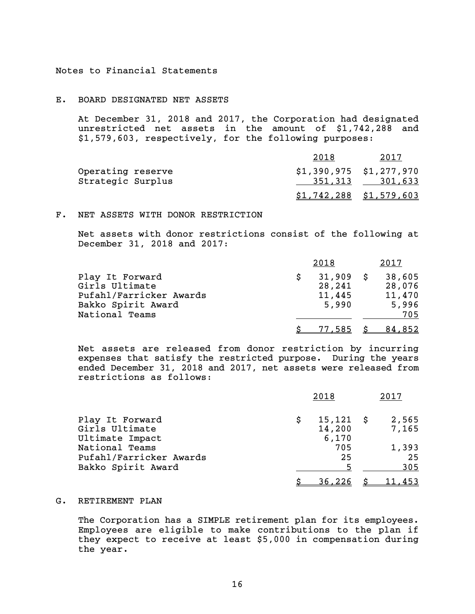#### E. BOARD DESIGNATED NET ASSETS

At December 31, 2018 and 2017, the Corporation had designated unrestricted net assets in the amount of \$1,742,288 and \$1,579,603, respectively, for the following purposes:

|                   | 2018                      | 2017            |
|-------------------|---------------------------|-----------------|
| Operating reserve | $$1,390,975$ $$1,277,970$ |                 |
| Strategic Surplus |                           | 351,313 301,633 |
|                   | $$1,742,288$ $$1,579,603$ |                 |

#### F. NET ASSETS WITH DONOR RESTRICTION

Net assets with donor restrictions consist of the following at December 31, 2018 and 2017:

|                                                                                    | 2018                                     | 2017                                |
|------------------------------------------------------------------------------------|------------------------------------------|-------------------------------------|
| Play It Forward<br>Girls Ultimate<br>Pufahl/Farricker Awards<br>Bakko Spirit Award | $31,909$ \$<br>28,241<br>11,445<br>5,990 | 38,605<br>28,076<br>11,470<br>5,996 |
| National Teams                                                                     |                                          | 705                                 |
|                                                                                    | <u>77,585</u>                            | <u>84,852</u>                       |

Net assets are released from donor restriction by incurring expenses that satisfy the restricted purpose. During the years ended December 31, 2018 and 2017, net assets were released from restrictions as follows:

|                         |   | 2018          | 2017   |
|-------------------------|---|---------------|--------|
| Play It Forward         | S | $15,121$ \$   | 2,565  |
| Girls Ultimate          |   | 14,200        | 7,165  |
| Ultimate Impact         |   | 6,170         |        |
| National Teams          |   | 705           | 1,393  |
| Pufahl/Farricker Awards |   | 25            | 25     |
| Bakko Spirit Award      |   | 5             | 305    |
|                         |   | <u>36,226</u> | 11,453 |

### G. RETIREMENT PLAN

The Corporation has a SIMPLE retirement plan for its employees. Employees are eligible to make contributions to the plan if they expect to receive at least \$5,000 in compensation during the year.